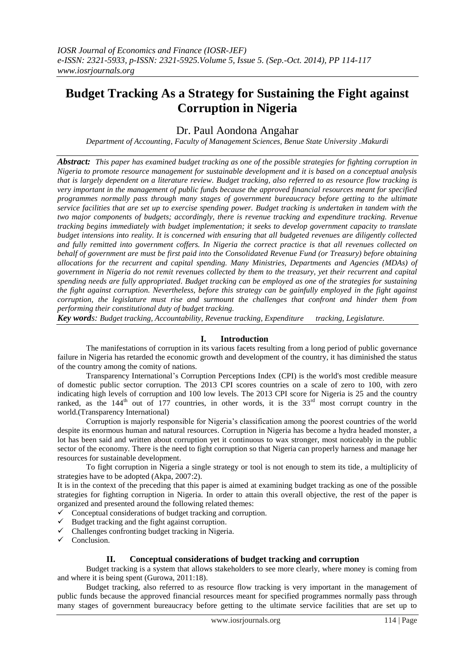# **Budget Tracking As a Strategy for Sustaining the Fight against Corruption in Nigeria**

Dr. Paul Aondona Angahar

*Department of Accounting, Faculty of Management Sciences, Benue State University .Makurdi*

*Abstract: This paper has examined budget tracking as one of the possible strategies for fighting corruption in Nigeria to promote resource management for sustainable development and it is based on a conceptual analysis that is largely dependent on a literature review. Budget tracking, also referred to as resource flow tracking is very important in the management of public funds because the approved financial resources meant for specified programmes normally pass through many stages of government bureaucracy before getting to the ultimate service facilities that are set up to exercise spending power. Budget tracking is undertaken in tandem with the two major components of budgets; accordingly, there is revenue tracking and expenditure tracking. Revenue tracking begins immediately with budget implementation; it seeks to develop government capacity to translate budget intensions into reality. It is concerned with ensuring that all budgeted revenues are diligently collected and fully remitted into government coffers. In Nigeria the correct practice is that all revenues collected on behalf of government are must be first paid into the Consolidated Revenue Fund (or Treasury) before obtaining allocations for the recurrent and capital spending. Many Ministries, Departments and Agencies (MDAs) of government in Nigeria do not remit revenues collected by them to the treasury, yet their recurrent and capital spending needs are fully appropriated. Budget tracking can be employed as one of the strategies for sustaining the fight against corruption. Nevertheless, before this strategy can be gainfully employed in the fight against corruption, the legislature must rise and surmount the challenges that confront and hinder them from performing their constitutional duty of budget tracking.*

*Key words: Budget tracking, Accountability, Revenue tracking, Expenditure tracking, Legislature.*

## **I. Introduction**

The manifestations of corruption in its various facets resulting from a long period of public governance failure in Nigeria has retarded the economic growth and development of the country, it has diminished the status of the country among the comity of nations.

Transparency International"s [Corruption Perceptions Index](http://www.transparency.org/cpi) (CPI) is the world's most credible measure of domestic public sector corruption. The 2013 CPI scores countries on a scale of zero to 100, with zero indicating high levels of corruption and 100 low levels. The 2013 CPI score for Nigeria is 25 and the country ranked, as the 144<sup>th</sup> out of 177 countries, in other words, it is the 33<sup>rd</sup> most corrupt country in the world.(Transparency International)

Corruption is majorly responsible for Nigeria"s classification among the poorest countries of the world despite its enormous human and natural resources. Corruption in Nigeria has become a hydra headed monster, a lot has been said and written about corruption yet it continuous to wax stronger, most noticeably in the public sector of the economy. There is the need to fight corruption so that Nigeria can properly harness and manage her resources for sustainable development.

To fight corruption in Nigeria a single strategy or tool is not enough to stem its tide, a multiplicity of strategies have to be adopted (Akpa, 2007:2).

It is in the context of the preceding that this paper is aimed at examining budget tracking as one of the possible strategies for fighting corruption in Nigeria. In order to attain this overall objective, the rest of the paper is organized and presented around the following related themes:

 $\checkmark$  Conceptual considerations of budget tracking and corruption.<br> $\checkmark$  Budget tracking and the fight against corruption

- Budget tracking and the fight against corruption.
- Challenges confronting budget tracking in Nigeria.
- $\sqrt{\frac{C}{C}}$ Conclusion.

## **II. Conceptual considerations of budget tracking and corruption**

Budget tracking is a system that allows stakeholders to see more clearly, where money is coming from and where it is being spent (Gurowa, 2011:18).

Budget tracking, also referred to as resource flow tracking is very important in the management of public funds because the approved financial resources meant for specified programmes normally pass through many stages of government bureaucracy before getting to the ultimate service facilities that are set up to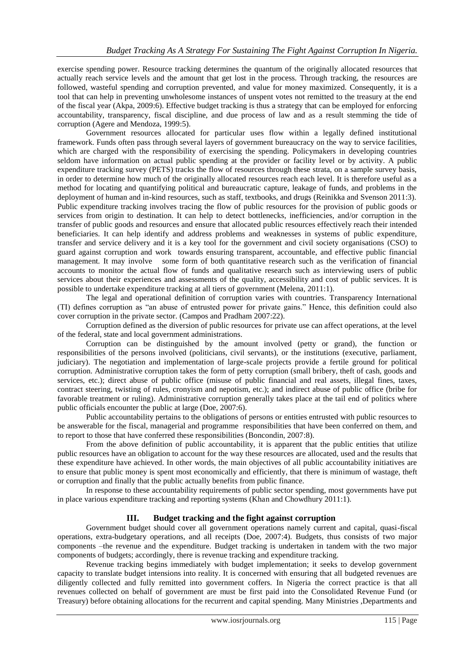exercise spending power. Resource tracking determines the quantum of the originally allocated resources that actually reach service levels and the amount that get lost in the process. Through tracking, the resources are followed, wasteful spending and corruption prevented, and value for money maximized. Consequently, it is a tool that can help in preventing unwholesome instances of unspent votes not remitted to the treasury at the end of the fiscal year (Akpa, 2009:6). Effective budget tracking is thus a strategy that can be employed for enforcing accountability, transparency, fiscal discipline, and due process of law and as a result stemming the tide of corruption (Agere and Mendoza, 1999:5).

Government resources allocated for particular uses flow within a legally defined institutional framework. Funds often pass through several layers of government bureaucracy on the way to service facilities, which are charged with the responsibility of exercising the spending. Policymakers in developing countries seldom have information on actual public spending at the provider or facility level or by activity. A public expenditure tracking survey (PETS) tracks the flow of resources through these strata, on a sample survey basis, in order to determine how much of the originally allocated resources reach each level. It is therefore useful as a method for locating and quantifying political and bureaucratic capture, leakage of funds, and problems in the deployment of human and in-kind resources, such as staff, textbooks, and drugs (Reinikka and Svenson 2011:3). Public expenditure tracking involves tracing the flow of public resources for the provision of public goods or services from origin to destination. It can help to detect bottlenecks, inefficiencies, and/or corruption in the transfer of public goods and resources and ensure that allocated public resources effectively reach their intended beneficiaries. It can help identify and address problems and weaknesses in systems of public expenditure, transfer and service delivery and it is a key tool for the government and civil society organisations (CSO) to guard against corruption and work towards ensuring transparent, accountable, and effective public financial management. It may involve some form of both quantitative research such as the verification of financial accounts to monitor the actual flow of funds and qualitative research such as interviewing users of public services about their experiences and assessments of the quality, accessibility and cost of public services. It is possible to undertake expenditure tracking at all tiers of government (Melena, 2011:1).

The legal and operational definition of corruption varies with countries. Transparency International (TI) defines corruption as "an abuse of entrusted power for private gains." Hence, this definition could also cover corruption in the private sector. (Campos and Pradham 2007:22).

Corruption defined as the diversion of public resources for private use can affect operations, at the level of the federal, state and local government administrations.

Corruption can be distinguished by the amount involved (petty or grand), the function or responsibilities of the persons involved (politicians, civil servants), or the institutions (executive, parliament, judiciary). The negotiation and implementation of large-scale projects provide a fertile ground for political corruption. Administrative corruption takes the form of petty corruption (small bribery, theft of cash, goods and services, etc.); direct abuse of public office (misuse of public financial and real assets, illegal fines, taxes, contract steering, twisting of rules, cronyism and nepotism, etc.); and indirect abuse of public office (bribe for favorable treatment or ruling). Administrative corruption generally takes place at the tail end of politics where public officials encounter the public at large (Doe, 2007:6).

Public accountability pertains to the obligations of persons or entities entrusted with public resources to be answerable for the fiscal, managerial and programme responsibilities that have been conferred on them, and to report to those that have conferred these responsibilities (Boncondin, 2007:8).

From the above definition of public accountability, it is apparent that the public entities that utilize public resources have an obligation to account for the way these resources are allocated, used and the results that these expenditure have achieved. In other words, the main objectives of all public accountability initiatives are to ensure that public money is spent most economically and efficiently, that there is minimum of wastage, theft or corruption and finally that the public actually benefits from public finance.

In response to these accountability requirements of public sector spending, most governments have put in place various expenditure tracking and reporting systems (Khan and Chowdhury 2011:1).

# **III. Budget tracking and the fight against corruption**

Government budget should cover all government operations namely current and capital, quasi-fiscal operations, extra-budgetary operations, and all receipts (Doe, 2007:4). Budgets, thus consists of two major components –the revenue and the expenditure. Budget tracking is undertaken in tandem with the two major components of budgets; accordingly, there is revenue tracking and expenditure tracking.

Revenue tracking begins immediately with budget implementation; it seeks to develop government capacity to translate budget intensions into reality. It is concerned with ensuring that all budgeted revenues are diligently collected and fully remitted into government coffers. In Nigeria the correct practice is that all revenues collected on behalf of government are must be first paid into the Consolidated Revenue Fund (or Treasury) before obtaining allocations for the recurrent and capital spending. Many Ministries ,Departments and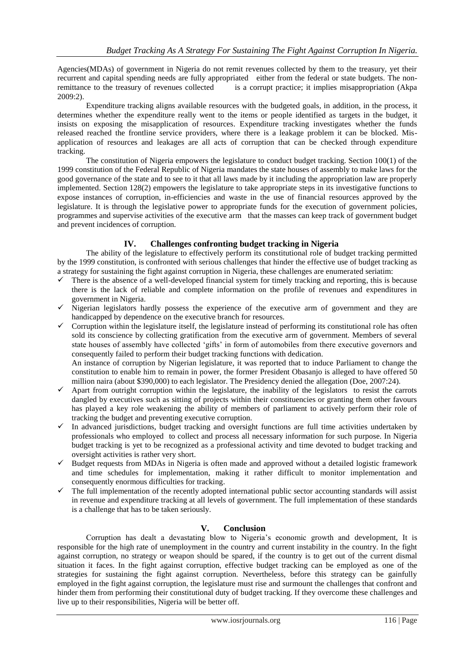Agencies(MDAs) of government in Nigeria do not remit revenues collected by them to the treasury, yet their recurrent and capital spending needs are fully appropriated either from the federal or state budgets. The nonremittance to the treasury of revenues collected is a corrupt practice; it implies misappropriation (Akpa 2009:2).

Expenditure tracking aligns available resources with the budgeted goals, in addition, in the process, it determines whether the expenditure really went to the items or people identified as targets in the budget, it insists on exposing the misapplication of resources. Expenditure tracking investigates whether the funds released reached the frontline service providers, where there is a leakage problem it can be blocked. Misapplication of resources and leakages are all acts of corruption that can be checked through expenditure tracking.

The constitution of Nigeria empowers the legislature to conduct budget tracking. Section 100(1) of the 1999 constitution of the Federal Republic of Nigeria mandates the state houses of assembly to make laws for the good governance of the state and to see to it that all laws made by it including the appropriation law are properly implemented. Section 128(2) empowers the legislature to take appropriate steps in its investigative functions to expose instances of corruption, in-efficiencies and waste in the use of financial resources approved by the legislature. It is through the legislative power to appropriate funds for the execution of government policies, programmes and supervise activities of the executive arm that the masses can keep track of government budget and prevent incidences of corruption.

# **IV. Challenges confronting budget tracking in Nigeria**

The ability of the legislature to effectively perform its constitutional role of budget tracking permitted by the 1999 constitution, is confronted with serious challenges that hinder the effective use of budget tracking as a strategy for sustaining the fight against corruption in Nigeria, these challenges are enumerated seriatim:

- $\checkmark$  There is the absence of a well-developed financial system for timely tracking and reporting, this is because there is the lack of reliable and complete information on the profile of revenues and expenditures in government in Nigeria.
- $\checkmark$  Nigerian legislators hardly possess the experience of the executive arm of government and they are handicapped by dependence on the executive branch for resources.
- $\checkmark$  Corruption within the legislature itself, the legislature instead of performing its constitutional role has often sold its conscience by collecting gratification from the executive arm of government. Members of several state houses of assembly have collected 'gifts' in form of automobiles from there executive governors and consequently failed to perform their budget tracking functions with dedication. An instance of corruption by Nigerian legislature, it was reported that to induce Parliament to change the

constitution to enable him to remain in power, the former President Obasanjo is alleged to have offered 50 million naira (about \$390,000) to each legislator. The Presidency denied the allegation (Doe, 2007:24).

- $\checkmark$  Apart from outright corruption within the legislature, the inability of the legislators to resist the carrots dangled by executives such as sitting of projects within their constituencies or granting them other favours has played a key role weakening the ability of members of parliament to actively perform their role of tracking the budget and preventing executive corruption.
- In advanced jurisdictions, budget tracking and oversight functions are full time activities undertaken by professionals who employed to collect and process all necessary information for such purpose. In Nigeria budget tracking is yet to be recognized as a professional activity and time devoted to budget tracking and oversight activities is rather very short.
- $\checkmark$  Budget requests from MDAs in Nigeria is often made and approved without a detailed logistic framework and time schedules for implementation, making it rather difficult to monitor implementation and consequently enormous difficulties for tracking.
- $\checkmark$  The full implementation of the recently adopted international public sector accounting standards will assist in revenue and expenditure tracking at all levels of government. The full implementation of these standards is a challenge that has to be taken seriously.

## **V. Conclusion**

Corruption has dealt a devastating blow to Nigeria"s economic growth and development, It is responsible for the high rate of unemployment in the country and current instability in the country. In the fight against corruption, no strategy or weapon should be spared, if the country is to get out of the current dismal situation it faces. In the fight against corruption, effective budget tracking can be employed as one of the strategies for sustaining the fight against corruption. Nevertheless, before this strategy can be gainfully employed in the fight against corruption, the legislature must rise and surmount the challenges that confront and hinder them from performing their constitutional duty of budget tracking. If they overcome these challenges and live up to their responsibilities, Nigeria will be better off.